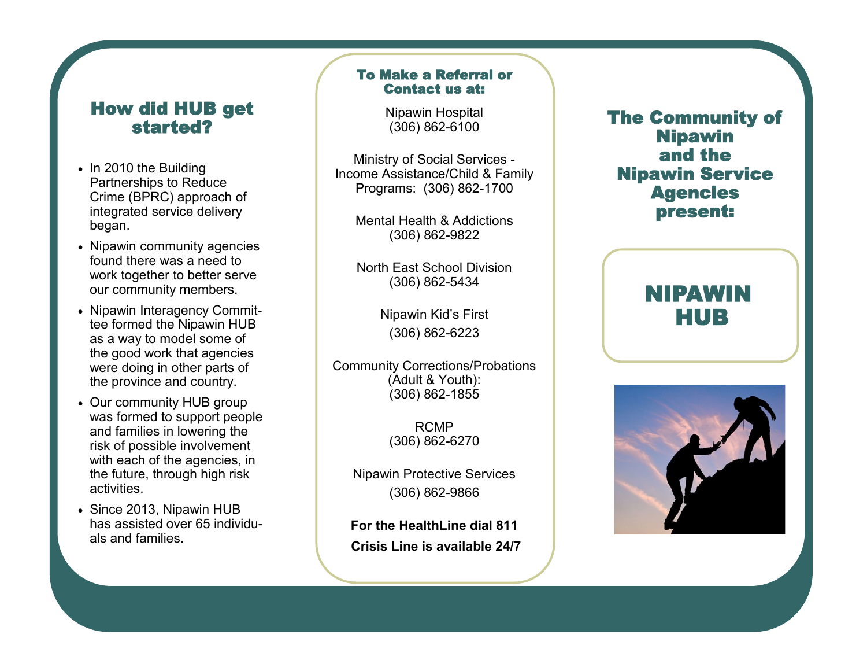### How did HUB get started?

- In 2010 the Building Partnerships to Reduce Crime (BPRC) approach of integrated service delivery began.
- Nipawin community agencies found there was a need to work together to better serve our community members.
- Nipawin Interagency Committee formed the Nipawin HUB as a way to model some of the good work that agencies were doing in other parts of the province and country.
- Our community HUB group was formed to support people and families in lowering the risk of possible involvement with each of the agencies, in the future, through high risk activities.
- Since 2013, Nipawin HUB has assisted over 65 individuals and families.

### To Make a Referral or Contact us at:

Nipawin Hospital (306) 862-6100

Ministry of Social Services - Income Assistance/Child & Family Programs: (306) 862-1700

> Mental Health & Addictions (306) 862-9822

> North East School Division (306) 862-5434

> > Nipawin Kid's First (306) 862-6223

Community Corrections/Probations (Adult & Youth): (306) 862-1855

> RCMP (306) 862-6270

Nipawin Protective Services (306) 862-9866

**For the HealthLine dial 811 Crisis Line is available 24/7**  The Community of Nipawin and the Nipawin Service Agencies present:

## NIPAWIN HUB